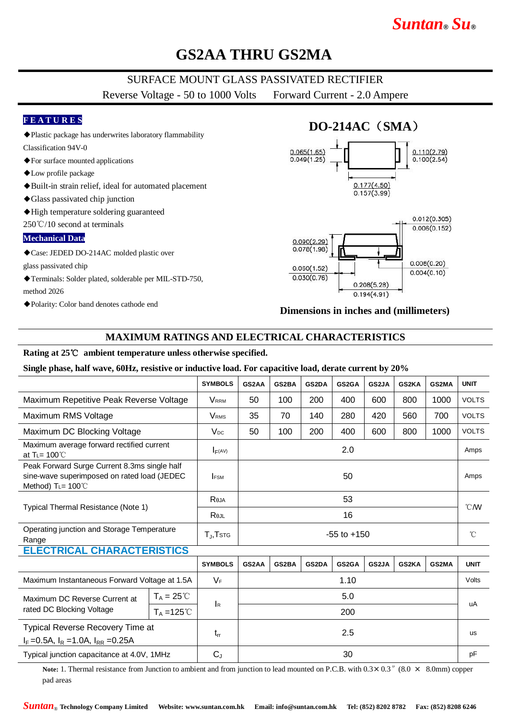# *Suntan***®** *Su***®**

## **GS2AA THRU GS2MA**

### SURFACE MOUNT GLASS PASSIVATED RECTIFIER

Reverse Voltage - 50 to 1000 Volts Forward Current - 2.0 Ampere

### **F E A T U R E S**

- ◆Plastic package has underwrites laboratory flammability
- Classification 94V-0 ◆For surface mounted applications
- ◆Low profile package
- ◆Built-in strain relief, ideal for automated placement
- ◆Glass passivated chip junction
- ◆High temperature soldering guaranteed

250℃/10 second at terminals

#### **Mechanical Data**

◆Case: JEDED DO-214AC molded plastic over

glass passivated chip

- ◆Terminals: Solder plated, solderable per MIL-STD-750, method 2026
- ◆Polarity: Color band denotes cathode end

# **DO-214AC**(**SMA**)





#### **Dimensions in inches and (millimeters)**

### **MAXIMUM RATINGS AND ELECTRICAL CHARACTERISTICS**

#### **Rating at 25**℃ **ambient temperature unless otherwise specified.**

#### **Single phase, half wave, 60Hz, resistive or inductive load. For capacitive load, derate current by 20%**

|                                                                                                                                |                      | <b>SYMBOLS</b>        | GS2AA           | GS2BA | GS2DA | GS2GA | GS2JA | GS2KA | GS2MA | <b>UNIT</b>    |
|--------------------------------------------------------------------------------------------------------------------------------|----------------------|-----------------------|-----------------|-------|-------|-------|-------|-------|-------|----------------|
| Maximum Repetitive Peak Reverse Voltage                                                                                        |                      | <b>V</b> RRM          | 50              | 100   | 200   | 400   | 600   | 800   | 1000  | <b>VOLTS</b>   |
| Maximum RMS Voltage                                                                                                            |                      | <b>VRMS</b>           | 35              | 70    | 140   | 280   | 420   | 560   | 700   | <b>VOLTS</b>   |
| Maximum DC Blocking Voltage                                                                                                    |                      | $V_{DC}$              | 50              | 100   | 200   | 400   | 600   | 800   | 1000  | <b>VOLTS</b>   |
| Maximum average forward rectified current<br>at T <sub>L</sub> = $100^{\circ}$ C                                               |                      | F(AV)                 | 2.0             |       |       |       |       |       |       | Amps           |
| Peak Forward Surge Current 8.3ms single half<br>sine-wave superimposed on rated load (JEDEC<br>Method) $T_{L} = 100^{\circ}$ C |                      | <b>IFSM</b>           | 50              |       |       |       |       |       |       | Amps           |
| Typical Thermal Resistance (Note 1)                                                                                            |                      | Reja                  | 53              |       |       |       |       |       |       | $^{\circ}$ CMV |
|                                                                                                                                |                      | Rejl                  | 16              |       |       |       |       |       |       |                |
| Operating junction and Storage Temperature<br>Range                                                                            |                      | $T_{\rm J}$ , $T$ stg | $-55$ to $+150$ |       |       |       |       |       |       | $^{\circ}$ C   |
| <b>ELECTRICAL CHARACTERISTICS</b>                                                                                              |                      |                       |                 |       |       |       |       |       |       |                |
|                                                                                                                                |                      | <b>SYMBOLS</b>        | GS2AA           | GS2BA | GS2DA | GS2GA | GS2JA | GS2KA | GS2MA | <b>UNIT</b>    |
| Maximum Instantaneous Forward Voltage at 1.5A                                                                                  |                      | $V_F$                 | 1.10            |       |       |       |       |       |       | Volts          |
| Maximum DC Reverse Current at<br>rated DC Blocking Voltage                                                                     | $T_A = 25^{\circ}$   |                       | 5.0             |       |       |       |       |       |       | uA             |
|                                                                                                                                | $T_A = 125^{\circ}C$ | <b>I</b> R            | 200             |       |       |       |       |       |       |                |
| Typical Reverse Recovery Time at<br>$I_F = 0.5A$ , $I_R = 1.0A$ , $I_{RR} = 0.25A$                                             |                      | $t_{rr}$              | 2.5             |       |       |       |       |       |       | <b>us</b>      |

**Note:** 1. Thermal resistance from Junction to ambient and from junction to lead mounted on P.C.B. with  $0.3 \times 0.3$  " $(8.0 \times 8.0 \text{mm})$  copper pad areas

Typical junction capacitance at 4.0V, 1MHz C<sup>J</sup> 30 pF